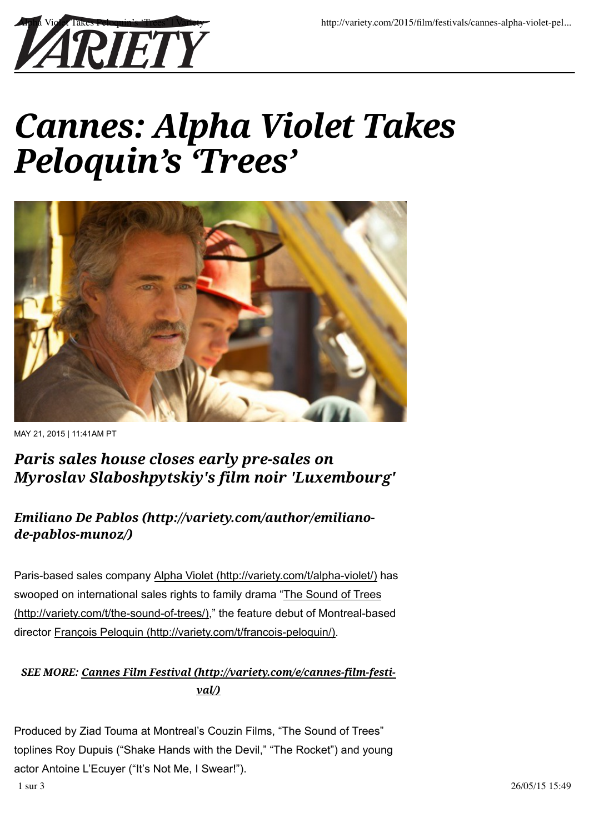

# *Cannes: Alpha Violet Takes Peloquin's 'Trees'*



MAY 21, 2015 | 11:41AM PT

## *Paris sales house closes early pre-sales on Myroslav Slaboshpytskiy's film noir 'Luxembourg'*

## *Emiliano De Pablos (http://variety.com/author/emilianode-pablos-munoz/)*

Paris-based sales company Alpha Violet (http://variety.com/t/alpha-violet/) has swooped on international sales rights to family drama "The Sound of Trees (http://variety.com/t/the-sound-of-trees/)," the feature debut of Montreal-based director François Peloquin (http://variety.com/t/francois-peloquin/).

#### *SEE MORE: Cannes Film Festival (http://variety.com/e/cannes-film-festival/)*

Produced by Ziad Touma at Montreal's Couzin Films, "The Sound of Trees" toplines Roy Dupuis ("Shake Hands with the Devil," "The Rocket") and young actor Antoine L'Ecuyer ("It's Not Me, I Swear!").